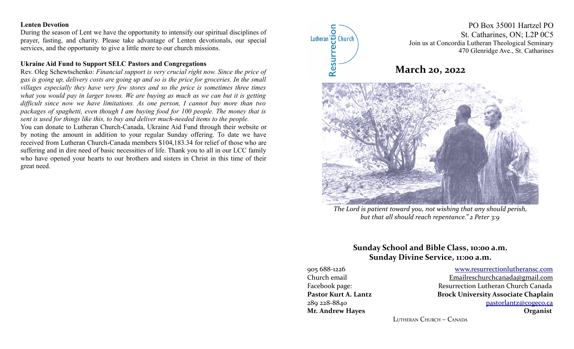# **Lenten Devotion**

During the season of Lent we have the opportunity to intensify our spiritual disciplines of prayer, fasting, and charity. Please take advantage of Lenten devotionals, our special services, and the opportunity to give a little more to our church missions.

# **Ukraine Aid Fund to Support SELC Pastors and Congregations**

Rev. Oleg Schewtschenko: *Financial support is very crucial right now. Since the price of gas is going up, delivery costs are going up and so is the price for groceries. In the small villages especially they have very few stores and so the price is sometimes three times what you would pay in larger towns. We are buying as much as we can but it is getting difficult since now we have limitations. As one person, I cannot buy more than two packages of spaghetti, even though I am buying food for 100 people. The money that is sent is used for things like this, to buy and deliver much-needed items to the people.* 

You can donate to Lutheran Church-Canada, Ukraine Aid Fund through their website or by noting the amount in addition to your regular Sunday offering. To date we have received from Lutheran Church-Canada members \$104,183.34 for relief of those who are suffering and in dire need of basic necessities of life. Thank you to all in our LCC family who have opened your hearts to our brothers and sisters in Christ in this time of their great need.



*The Lord is patient toward you, not wishing that any should perish, but that all should reach repentance." 2 Peter 3:9*

# **Sunday School and Bible Class, 10:00 a.m. Sunday Divine Service, 11:00 a.m.**

905 688-1226 [www.resurrectionl utherans c.c om](http://www.resurrectionlc.ca/) Church email Emailreschurchcanada@gmail.com Facebook page: Resurrection Lutheran Church Canada Pastor Kurt A. Lantz **Brock University Associate Chaplain** 289 228-8840 [pastorlantz@cogeco.ca](mailto:pastorlantz@cogeco.ca) **Mr. Andrew Hayes Organist**

LUTHERAN CHURCH – CANADA